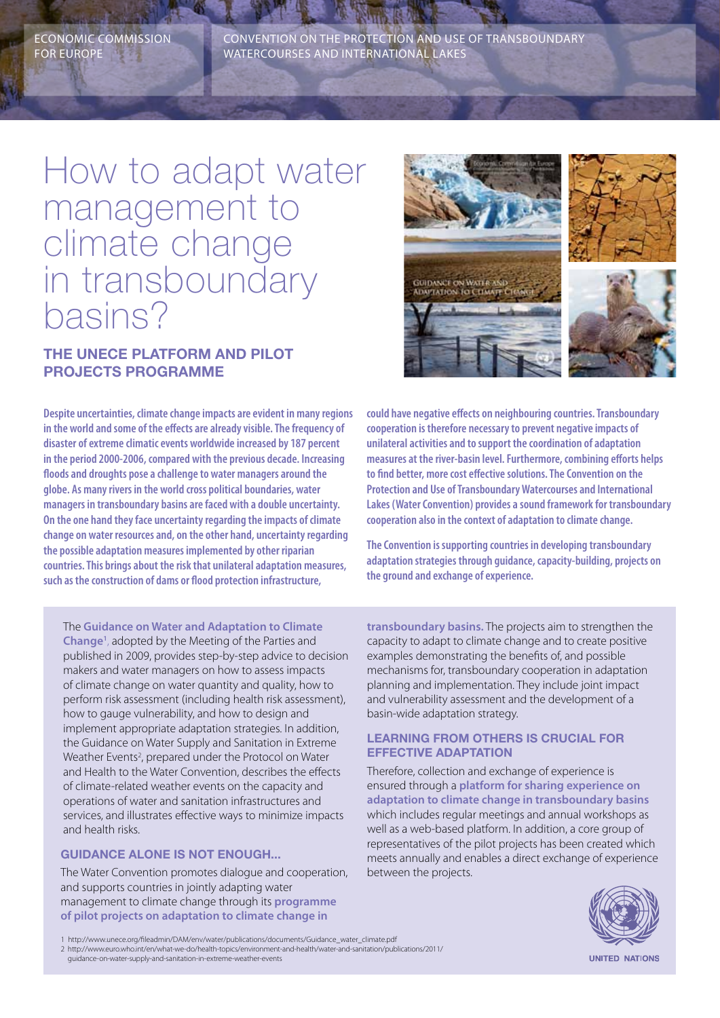Economic Commission for Europe

Convention on the Protection and Use of Transboundary Watercourses and International Lakes

# How to adapt water management to climate change in transboundary basins?

## **The UNECE platform and pilot projects programme**

**Despite uncertainties, climate change impacts are evident in many regions in the world and some of the effects are already visible. The frequency of disaster of extreme climatic events worldwide increased by 187 percent in the period 2000-2006, compared with the previous decade. Increasing floods and droughts pose a challenge to water managers around the globe. As many rivers in the world cross political boundaries, water managers in transboundary basins are faced with a double uncertainty. On the one hand they face uncertainty regarding the impacts of climate change on water resources and, on the other hand, uncertainty regarding the possible adaptation measures implemented by other riparian countries. This brings about the risk that unilateral adaptation measures, such as the construction of dams or flood protection infrastructure,** 

The **Guidance on Water and Adaptation to Climate Change1** , adopted by the Meeting of the Parties and published in 2009, provides step-by-step advice to decision makers and water managers on how to assess impacts of climate change on water quantity and quality, how to perform risk assessment (including health risk assessment), how to gauge vulnerability, and how to design and implement appropriate adaptation strategies. In addition, the Guidance on Water Supply and Sanitation in Extreme Weather Events<sup>2</sup>, prepared under the Protocol on Water and Health to the Water Convention, describes the effects of climate-related weather events on the capacity and operations of water and sanitation infrastructures and services, and illustrates effective ways to minimize impacts and health risks.

## **Guidance alone is not enough...**

The Water Convention promotes dialogue and cooperation, and supports countries in jointly adapting water management to climate change through its **programme of pilot projects on adaptation to climate change in** 



**could have negative effects on neighbouring countries. Transboundary cooperation is therefore necessary to prevent negative impacts of unilateral activities and to support the coordination of adaptation measures at the river-basin level. Furthermore, combining efforts helps to find better, more cost effective solutions. The Convention on the Protection and Use of Transboundary Watercourses and International Lakes (Water Convention) provides a sound framework for transboundary cooperation also in the context of adaptation to climate change.** 

**The Convention is supporting countries in developing transboundary adaptation strategies through guidance, capacity-building, projects on the ground and exchange of experience.**

**transboundary basins.** The projects aim to strengthen the capacity to adapt to climate change and to create positive examples demonstrating the benefits of, and possible mechanisms for, transboundary cooperation in adaptation planning and implementation. They include joint impact and vulnerability assessment and the development of a basin-wide adaptation strategy.

### **Learning from others is crucial for effective adaptation**

Therefore, collection and exchange of experience is ensured through a **platform for sharing experience on adaptation to climate change in transboundary basins** which includes regular meetings and annual workshops as well as a web-based platform. In addition, a core group of representatives of the pilot projects has been created which meets annually and enables a direct exchange of experience between the projects.



1 http://www.unece.org/fileadmin/DAM/env/water/publications/documents/Guidance\_water\_climate.pdf 2 http://www.euro.who.int/en/what-we-do/health-topics/environment-and-health/water-and-sanitation/publications/2011/ guidance-on-water-supply-and-sanitation-in-extreme-weather-events